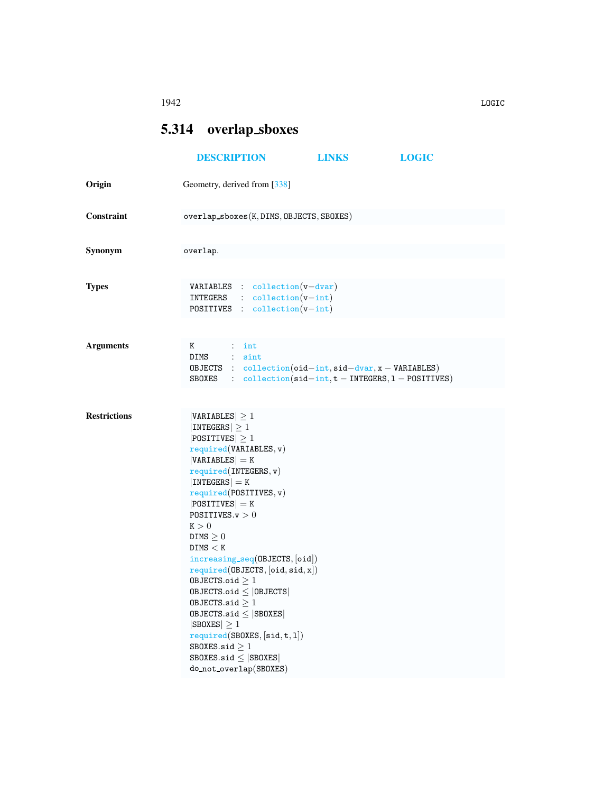## <span id="page-0-0"></span>5.314 overlap sboxes

|                     | <b>DESCRIPTION</b>                                                                                                                                                                                                                                                                                                                                                                                                                                                                                                                                                                          | <b>LINKS</b> | <b>LOGIC</b> |
|---------------------|---------------------------------------------------------------------------------------------------------------------------------------------------------------------------------------------------------------------------------------------------------------------------------------------------------------------------------------------------------------------------------------------------------------------------------------------------------------------------------------------------------------------------------------------------------------------------------------------|--------------|--------------|
| Origin              | Geometry, derived from [338]                                                                                                                                                                                                                                                                                                                                                                                                                                                                                                                                                                |              |              |
| Constraint          | $overlap_sbox(s, DIMS, OBJECTS, SBOKES)$                                                                                                                                                                                                                                                                                                                                                                                                                                                                                                                                                    |              |              |
|                     |                                                                                                                                                                                                                                                                                                                                                                                                                                                                                                                                                                                             |              |              |
| Synonym             | overlap.                                                                                                                                                                                                                                                                                                                                                                                                                                                                                                                                                                                    |              |              |
|                     |                                                                                                                                                                                                                                                                                                                                                                                                                                                                                                                                                                                             |              |              |
| <b>Types</b>        | <b>VARIABLES</b> : collection $(v - dvar)$<br>$INTEGRS$ : $collection(v-int)$<br>POSITIVES : collection(v-int)                                                                                                                                                                                                                                                                                                                                                                                                                                                                              |              |              |
|                     |                                                                                                                                                                                                                                                                                                                                                                                                                                                                                                                                                                                             |              |              |
| <b>Arguments</b>    | K<br>$\cdots$ int<br>DIMS : sint<br>OBJECTS : $collection(oid-int, sid-dvar, x - VARIABLES)$<br>SBOXES : $\text{collection}(\text{sid-int}, t - \text{INTERS}, 1 - \text{POSTTIVES})$                                                                                                                                                                                                                                                                                                                                                                                                       |              |              |
|                     |                                                                                                                                                                                                                                                                                                                                                                                                                                                                                                                                                                                             |              |              |
| <b>Restrictions</b> | $ VARIABLES  \geq 1$<br> INTEGERS  > 1<br>$ POSITIVES  \geq 1$<br>required(VARIABLES, v)<br>$ VARIABLES $ = K<br>required(INTERS, v)<br>$ INTEGERS  = K$<br>required(POSTTIVES, v)<br>$ POSITIVES $ = K<br>POSITIVES. $v > 0$<br>K > 0<br>DIMS $\geq 0$<br>DIMS < K<br>increasing_seq(OBJECTS, [oid])<br>required(0BJECTS, [oid, sid, x])<br>OBJECTS.oid $\geq 1$<br>$0$ BJECTS.oid $\leq$  OBJECTS <br>OBJECTS.sid $>1$<br>$0$ BJECTS.sid $\leq$ SB0XES<br>$ SBOKES  \geq 1$<br>required(SBOXES, [sid, t, 1])<br>SBOXES.sid $\geq 1$<br>SBOXES.sid $\leq$ SBOXES<br>do_not_overlap(SBOXES) |              |              |

1942 LOGIC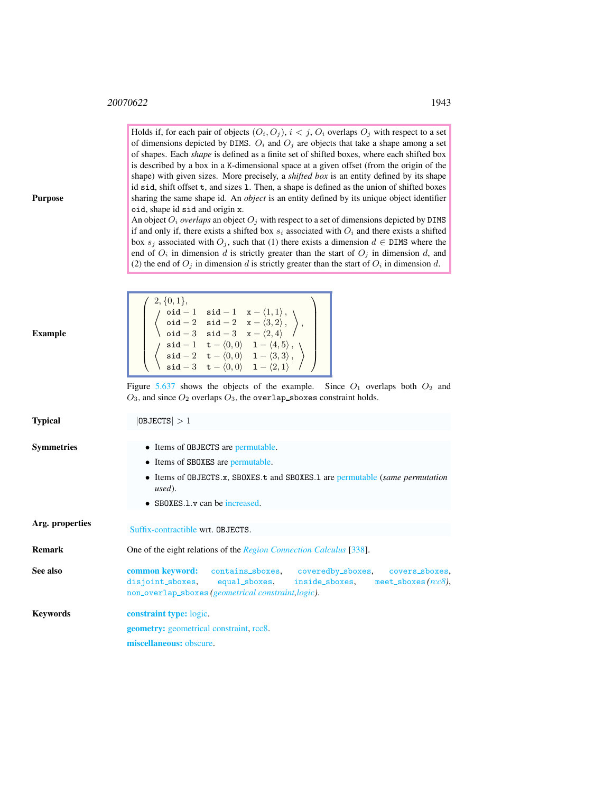$\neq$  2, {0, 1},

Holds if, for each pair of objects  $(O_i, O_j)$ ,  $i < j$ ,  $O_i$  overlaps  $O_j$  with respect to a set of dimensions depicted by DIMS.  $O_i$  and  $O_j$  are objects that take a shape among a set of shapes. Each *shape* is defined as a finite set of shifted boxes, where each shifted box is described by a box in a K-dimensional space at a given offset (from the origin of the shape) with given sizes. More precisely, a *shifted box* is an entity defined by its shape id sid, shift offset t, and sizes l. Then, a shape is defined as the union of shifted boxes sharing the same shape id. An *object* is an entity defined by its unique object identifier oid, shape id sid and origin x.

An object  $O_i$  *overlaps* an object  $O_j$  with respect to a set of dimensions depicted by DIMS if and only if, there exists a shifted box  $s_i$  associated with  $O_i$  and there exists a shifted box  $s_j$  associated with  $O_j$ , such that (1) there exists a dimension  $d \in \text{DIMS}$  where the end of  $O_i$  in dimension d is strictly greater than the start of  $O_j$  in dimension d, and (2) the end of  $O_j$  in dimension d is strictly greater than the start of  $O_i$  in dimension d.

 $\setminus$ 

Purpose

<span id="page-1-0"></span>

| Example           | $\left\{\begin{array}{c} \mathsf{oid} -1 \quad \mathsf{sid} -1 \quad \mathsf{x} - \langle 1,1\rangle\,,\ \mathsf{oid} -2 \quad \mathsf{sid} -2 \quad \mathsf{x} - \langle 3,2\rangle\,,\ \mathsf{oid} -3 \quad \mathsf{sid} -3 \quad \mathsf{x} - \langle 2,4\rangle\,\ \left\{\begin{array}{c} \mathsf{sid} -1 \quad \mathsf{t} - \langle 0,0\rangle & 1 - \langle 4,5\rangle\,,\ \mathsf{sid} -2 \quad \mathsf{t} - \langle 0,0\rangle & 1 - \langle 3,3\rangle\,,\ \mathsf{sid} -3 \quad$ |  |  |
|-------------------|----------------------------------------------------------------------------------------------------------------------------------------------------------------------------------------------------------------------------------------------------------------------------------------------------------------------------------------------------------------------------------------------------------------------------------------------------------------------------------------------|--|--|
|                   | Figure 5.637 shows the objects of the example. Since $O_1$ overlaps both $O_2$ and<br>$O_3$ , and since $O_2$ overlaps $O_3$ , the overlap_sboxes constraint holds.                                                                                                                                                                                                                                                                                                                          |  |  |
| Typical           | 0BJECTS >1                                                                                                                                                                                                                                                                                                                                                                                                                                                                                   |  |  |
| <b>Symmetries</b> | • Items of OBJECTS are permutable.<br>• Items of SBOXES are permutable.<br>• Items of OBJECTS.x, SBOXES.t and SBOXES.1 are permutable (same permutation<br>used).<br>$\bullet$ SB0XES.1. $\mathbf v$ can be increased.                                                                                                                                                                                                                                                                       |  |  |
| Arg. properties   | Suffix-contractible wrt. OBJECTS.                                                                                                                                                                                                                                                                                                                                                                                                                                                            |  |  |
| <b>Remark</b>     | One of the eight relations of the <i>Region Connection Calculus</i> [338].                                                                                                                                                                                                                                                                                                                                                                                                                   |  |  |
| See also          | common keyword: contains_sboxes, coveredby_sboxes, covers_sboxes,<br>disjoint_sboxes, equal_sboxes,<br>inside_sboxes, meet_sboxes( $rcc8$ ),<br>non_overlap_sboxes(geometrical constraint, logic).                                                                                                                                                                                                                                                                                           |  |  |
| <b>Keywords</b>   | <b>constraint type:</b> logic.                                                                                                                                                                                                                                                                                                                                                                                                                                                               |  |  |
|                   | <b>geometry:</b> geometrical constraint, rcc8.                                                                                                                                                                                                                                                                                                                                                                                                                                               |  |  |
|                   | miscellaneous: obscure.                                                                                                                                                                                                                                                                                                                                                                                                                                                                      |  |  |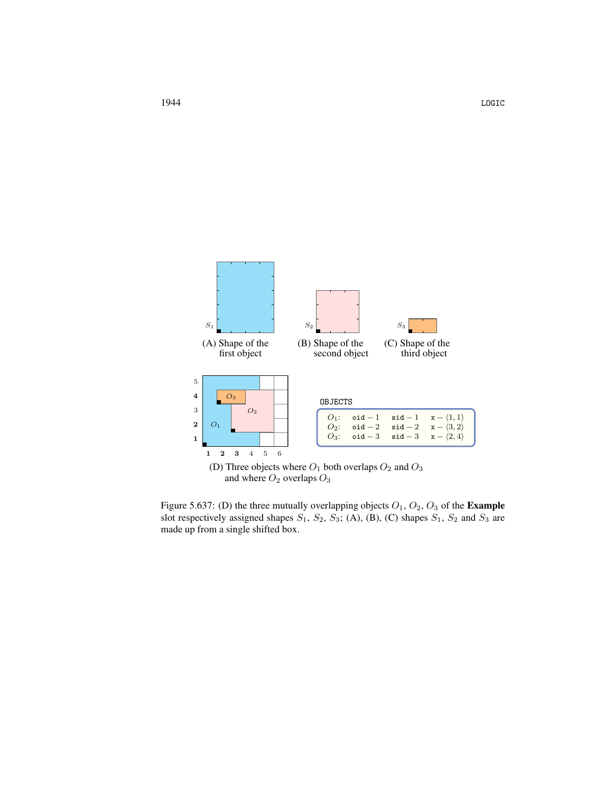

<span id="page-2-0"></span>Figure 5.637: (D) the three mutually overlapping objects  $O_1$ ,  $O_2$ ,  $O_3$  of the **Example** slot respectively assigned shapes  $S_1$ ,  $S_2$ ,  $S_3$ ; (A), (B), (C) shapes  $S_1$ ,  $S_2$  and  $S_3$  are made up from a single shifted box.